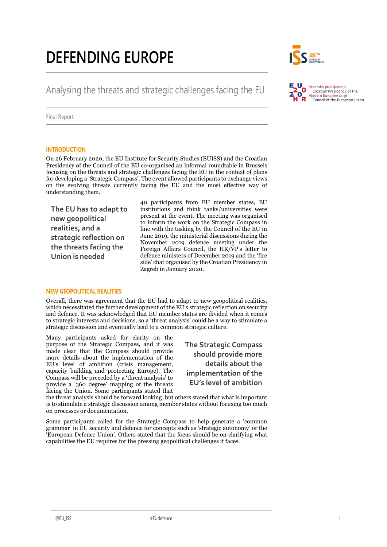# **DEFENDING EUROPE**



## Analysing the threats and strategic challenges facing the EU



Final Report

#### **INTRODUCTION**

On 26 February 2020, the EU Institute for Security Studies (EUISS) and the Croatian Presidency of the Council of the EU co-organised an informal roundtable in Brussels focusing on the threats and strategic challenges facing the EU in the context of plans for developing a 'Strategic Compass'. The event allowed participants to exchange views on the evolving threats currently facing the EU and the most effective way of understanding them.

**The EU has to adapt to new geopolitical realities, and a strategic reflection on the threats facing the Union is needed**

40 participants from EU member states, EU institutions and think tanks/universities were present at the event. The meeting was organised to inform the work on the Strategic Compass in line with the tasking by the Council of the EU in June 2019, the ministerial discussions during the November 2019 defence meeting under the Foreign Affairs Council, the HR/VP's letter to defence ministers of December 2019 and the 'fire side' chat organised by the Croatian Presidency in Zagreb in January 2020.

#### **NEW GEOPOLITICAL REALITIES**

Overall, there was agreement that the EU had to adapt to new geopolitical realities, which necessitated the further development of the EU's strategic reflection on security and defence. It was acknowledged that EU member states are divided when it comes to strategic interests and decisions, so a 'threat analysis' could be a way to stimulate a strategic discussion and eventually lead to a common strategic culture.

Many participants asked for clarity on the purpose of the Strategic Compass, and it was made clear that the Compass should provide more details about the implementation of the EU's level of ambition (crisis management, capacity building and protecting Europe). The Compass will be preceded by a 'threat analysis' to provide a '360 degree' mapping of the threats facing the Union. Some participants stated that

**The Strategic Compass should provide more details about the implementation of the EU's level of ambition**

the threat analysis should be forward looking, but others stated that what is important is to stimulate a strategic discussion among member states without focusing too much on processes or documentation.

Some participants called for the Strategic Compass to help generate a 'common grammar' in EU security and defence for concepts such as 'strategic autonomy' or the 'European Defence Union'. Others stated that the focus should be on clarifying what capabilities the EU requires for the pressing geopolitical challenges it faces.